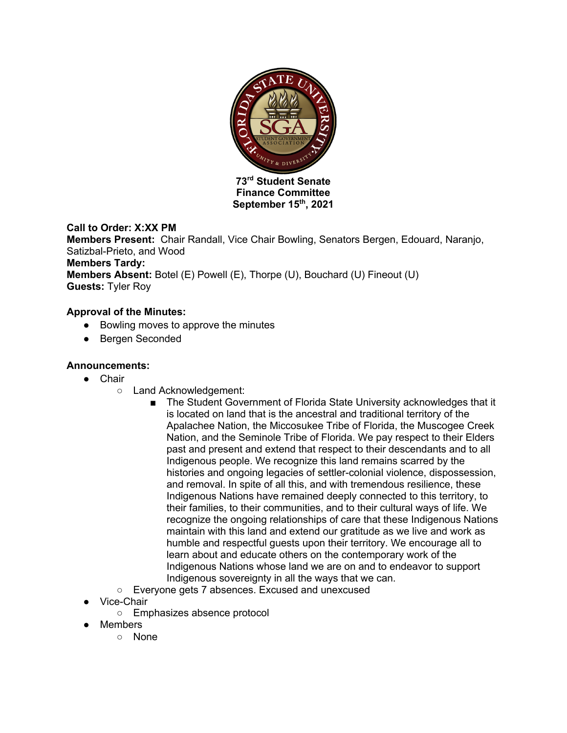

**Finance Committee September 15th, 2021**

# **Call to Order: X:XX PM**

**Members Present:** Chair Randall, Vice Chair Bowling, Senators Bergen, Edouard, Naranjo, Satizbal-Prieto, and Wood **Members Tardy: Members Absent:** Botel (E) Powell (E), Thorpe (U), Bouchard (U) Fineout (U) **Guests:** Tyler Roy

# **Approval of the Minutes:**

- Bowling moves to approve the minutes
- Bergen Seconded

# **Announcements:**

- Chair
	- Land Acknowledgement:
		- The Student Government of Florida State University acknowledges that it is located on land that is the ancestral and traditional territory of the Apalachee Nation, the Miccosukee Tribe of Florida, the Muscogee Creek Nation, and the Seminole Tribe of Florida. We pay respect to their Elders past and present and extend that respect to their descendants and to all Indigenous people. We recognize this land remains scarred by the histories and ongoing legacies of settler-colonial violence, dispossession, and removal. In spite of all this, and with tremendous resilience, these Indigenous Nations have remained deeply connected to this territory, to their families, to their communities, and to their cultural ways of life. We recognize the ongoing relationships of care that these Indigenous Nations maintain with this land and extend our gratitude as we live and work as humble and respectful guests upon their territory. We encourage all to learn about and educate others on the contemporary work of the Indigenous Nations whose land we are on and to endeavor to support Indigenous sovereignty in all the ways that we can.
	- Everyone gets 7 absences. Excused and unexcused
- **Vice-Chair** 
	- Emphasizes absence protocol
- Members
	- None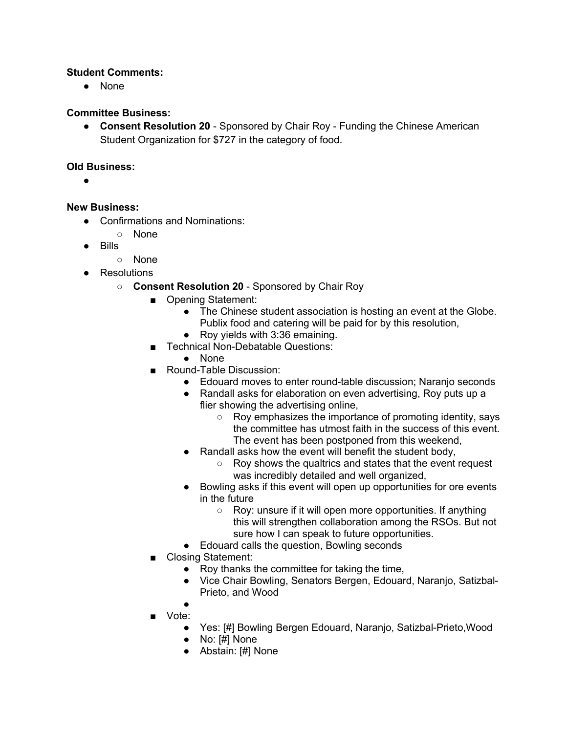## **Student Comments:**

● None

## **Committee Business:**

● **Consent Resolution 20** - Sponsored by Chair Roy - Funding the Chinese American Student Organization for \$727 in the category of food.

#### **Old Business:**

●

#### **New Business:**

- Confirmations and Nominations:
	- None
- Bills
	- None
- Resolutions
	- **Consent Resolution 20** Sponsored by Chair Roy
		- Opening Statement:
			- The Chinese student association is hosting an event at the Globe. Publix food and catering will be paid for by this resolution,
			- Roy yields with 3:36 emaining.
		- Technical Non-Debatable Questions:
			- None
		- Round-Table Discussion:
			- Edouard moves to enter round-table discussion; Naranjo seconds
			- Randall asks for elaboration on even advertising, Roy puts up a flier showing the advertising online,
				- Roy emphasizes the importance of promoting identity, says the committee has utmost faith in the success of this event. The event has been postponed from this weekend,
			- Randall asks how the event will benefit the student body,
				- Roy shows the qualtrics and states that the event request was incredibly detailed and well organized,
			- Bowling asks if this event will open up opportunities for ore events in the future
				- Roy: unsure if it will open more opportunities. If anything this will strengthen collaboration among the RSOs. But not sure how I can speak to future opportunities.
			- Edouard calls the question, Bowling seconds
		- Closing Statement:
			- Roy thanks the committee for taking the time,
			- Vice Chair Bowling, Senators Bergen, Edouard, Naranjo, Satizbal-Prieto, and Wood
			- ●
		- Vote:
			- Yes: [#] Bowling Bergen Edouard, Naranjo, Satizbal-Prieto, Wood
			- No: [#] None
			- Abstain: [#] None